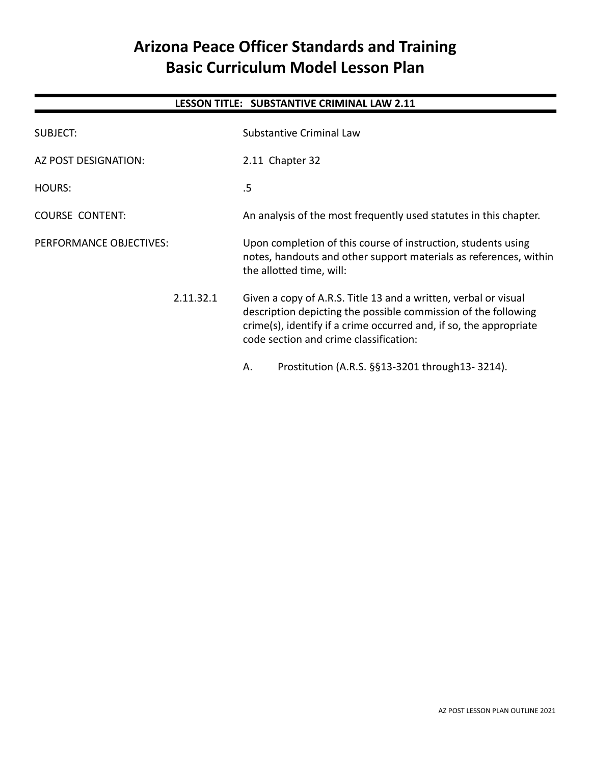# **Arizona Peace Officer Standards and Training Basic Curriculum Model Lesson Plan**

# **LESSON TITLE: SUBSTANTIVE CRIMINAL LAW 2.11**

| SUBJECT:                | <b>Substantive Criminal Law</b>                                                                                                                                                                                                                   |  |
|-------------------------|---------------------------------------------------------------------------------------------------------------------------------------------------------------------------------------------------------------------------------------------------|--|
| AZ POST DESIGNATION:    | 2.11 Chapter 32                                                                                                                                                                                                                                   |  |
| HOURS:                  | .5                                                                                                                                                                                                                                                |  |
| <b>COURSE CONTENT:</b>  | An analysis of the most frequently used statutes in this chapter.                                                                                                                                                                                 |  |
| PERFORMANCE OBJECTIVES: | Upon completion of this course of instruction, students using<br>notes, handouts and other support materials as references, within<br>the allotted time, will:                                                                                    |  |
| 2.11.32.1               | Given a copy of A.R.S. Title 13 and a written, verbal or visual<br>description depicting the possible commission of the following<br>crime(s), identify if a crime occurred and, if so, the appropriate<br>code section and crime classification: |  |
|                         | Prostitution (A.R.S. §§13-3201 through 13-3214).<br>Α.                                                                                                                                                                                            |  |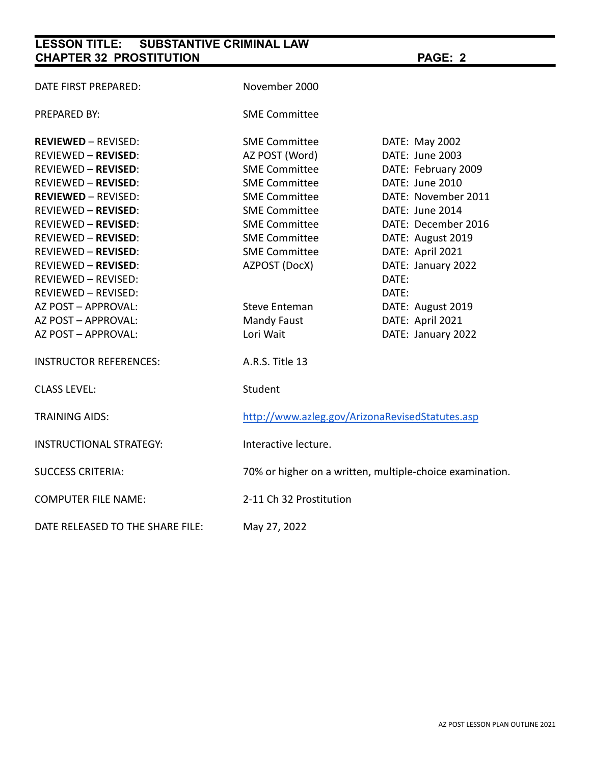# **LESSON TITLE: SUBSTANTIVE CRIMINAL LAW CHAPTER 32 PROSTITUTION PAGE: 2**

| DATE FIRST PREPARED:             | November 2000                                            |                     |  |
|----------------------------------|----------------------------------------------------------|---------------------|--|
| PREPARED BY:                     | <b>SME Committee</b>                                     |                     |  |
| <b>REVIEWED - REVISED:</b>       | <b>SME Committee</b>                                     | DATE: May 2002      |  |
| <b>REVIEWED - REVISED:</b>       | AZ POST (Word)                                           | DATE: June 2003     |  |
| <b>REVIEWED - REVISED:</b>       | <b>SME Committee</b>                                     | DATE: February 2009 |  |
| <b>REVIEWED - REVISED:</b>       | <b>SME Committee</b>                                     | DATE: June 2010     |  |
| <b>REVIEWED - REVISED:</b>       | <b>SME Committee</b>                                     | DATE: November 2011 |  |
| <b>REVIEWED - REVISED:</b>       | <b>SME Committee</b>                                     | DATE: June 2014     |  |
| <b>REVIEWED - REVISED:</b>       | <b>SME Committee</b>                                     | DATE: December 2016 |  |
| <b>REVIEWED - REVISED:</b>       | <b>SME Committee</b>                                     | DATE: August 2019   |  |
| <b>REVIEWED - REVISED:</b>       | <b>SME Committee</b>                                     | DATE: April 2021    |  |
| <b>REVIEWED - REVISED:</b>       | AZPOST (DocX)                                            | DATE: January 2022  |  |
| <b>REVIEWED - REVISED:</b>       |                                                          | DATE:               |  |
| REVIEWED - REVISED:              |                                                          | DATE:               |  |
| AZ POST - APPROVAL:              | <b>Steve Enteman</b>                                     | DATE: August 2019   |  |
| AZ POST - APPROVAL:              | <b>Mandy Faust</b>                                       | DATE: April 2021    |  |
| AZ POST - APPROVAL:              | Lori Wait                                                | DATE: January 2022  |  |
| <b>INSTRUCTOR REFERENCES:</b>    | A.R.S. Title 13                                          |                     |  |
| <b>CLASS LEVEL:</b>              | Student                                                  |                     |  |
| <b>TRAINING AIDS:</b>            | http://www.azleg.gov/ArizonaRevisedStatutes.asp          |                     |  |
| <b>INSTRUCTIONAL STRATEGY:</b>   | Interactive lecture.                                     |                     |  |
| <b>SUCCESS CRITERIA:</b>         | 70% or higher on a written, multiple-choice examination. |                     |  |
| <b>COMPUTER FILE NAME:</b>       | 2-11 Ch 32 Prostitution                                  |                     |  |
| DATE RELEASED TO THE SHARE FILE: | May 27, 2022                                             |                     |  |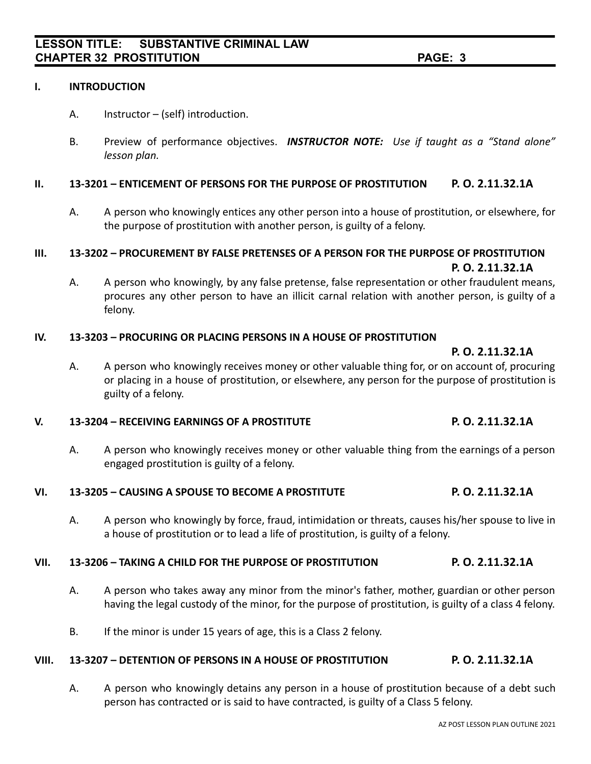#### **I. INTRODUCTION**

- A. Instructor (self) introduction.
- B. Preview of performance objectives. *INSTRUCTOR NOTE: Use if taught as a "Stand alone" lesson plan.*

#### **II. 13-3201 – ENTICEMENT OF PERSONS FOR THE PURPOSE OF PROSTITUTION P. O. 2.11.32.1A**

A. A person who knowingly entices any other person into a house of prostitution, or elsewhere, for the purpose of prostitution with another person, is guilty of a felony.

#### **III. 13-3202 – PROCUREMENT BY FALSE PRETENSES OF A PERSON FOR THE PURPOSE OF PROSTITUTION P. O. 2.11.32.1A**

A. A person who knowingly, by any false pretense, false representation or other fraudulent means, procures any other person to have an illicit carnal relation with another person, is guilty of a felony.

#### **IV. 13-3203 – PROCURING OR PLACING PERSONS IN A HOUSE OF PROSTITUTION**

**P. O. 2.11.32.1A**

A. A person who knowingly receives money or other valuable thing for, or on account of, procuring or placing in a house of prostitution, or elsewhere, any person for the purpose of prostitution is guilty of a felony.

#### **V. 13-3204 – RECEIVING EARNINGS OF A PROSTITUTE P. O. 2.11.32.1A**

A. A person who knowingly receives money or other valuable thing from the earnings of a person engaged prostitution is guilty of a felony.

### **VI. 13-3205 – CAUSING A SPOUSE TO BECOME A PROSTITUTE P. O. 2.11.32.1A**

A. A person who knowingly by force, fraud, intimidation or threats, causes his/her spouse to live in a house of prostitution or to lead a life of prostitution, is guilty of a felony.

### **VII. 13-3206 – TAKING A CHILD FOR THE PURPOSE OF PROSTITUTION P. O. 2.11.32.1A**

- A. A person who takes away any minor from the minor's father, mother, guardian or other person having the legal custody of the minor, for the purpose of prostitution, is guilty of a class 4 felony.
- B. If the minor is under 15 years of age, this is a Class 2 felony.

### **VIII. 13-3207 – DETENTION OF PERSONS IN A HOUSE OF PROSTITUTION P. O. 2.11.32.1A**

A. A person who knowingly detains any person in a house of prostitution because of a debt such person has contracted or is said to have contracted, is guilty of a Class 5 felony.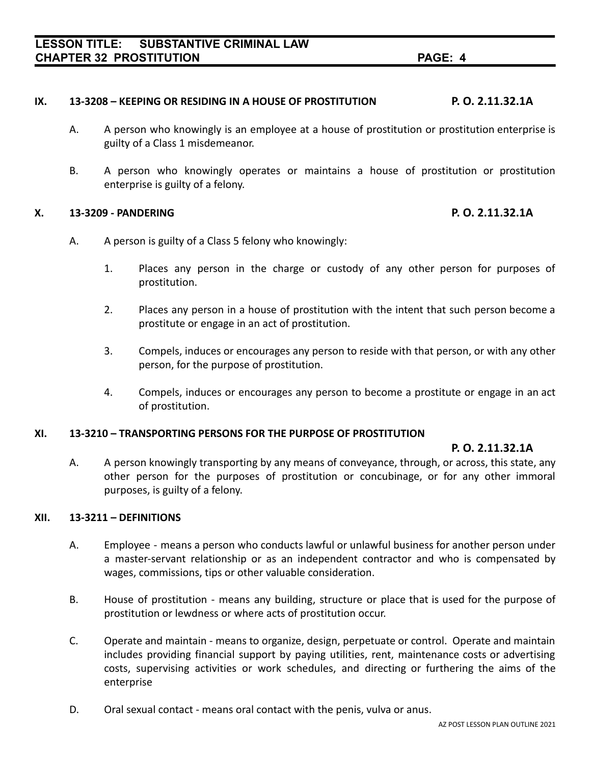#### **IX. 13-3208 – KEEPING OR RESIDING IN A HOUSE OF PROSTITUTION P. O. 2.11.32.1A**

- A. A person who knowingly is an employee at a house of prostitution or prostitution enterprise is guilty of a Class 1 misdemeanor.
- B. A person who knowingly operates or maintains a house of prostitution or prostitution enterprise is guilty of a felony.

#### **X. 13-3209 - PANDERING P. O. 2.11.32.1A**

- A. A person is guilty of a Class 5 felony who knowingly:
	- 1. Places any person in the charge or custody of any other person for purposes of prostitution.
	- 2. Places any person in a house of prostitution with the intent that such person become a prostitute or engage in an act of prostitution.
	- 3. Compels, induces or encourages any person to reside with that person, or with any other person, for the purpose of prostitution.
	- 4. Compels, induces or encourages any person to become a prostitute or engage in an act of prostitution.

#### **XI. 13-3210 – TRANSPORTING PERSONS FOR THE PURPOSE OF PROSTITUTION**

#### **P. O. 2.11.32.1A**

A. A person knowingly transporting by any means of conveyance, through, or across, this state, any other person for the purposes of prostitution or concubinage, or for any other immoral purposes, is guilty of a felony.

#### **XII. 13-3211 – DEFINITIONS**

- A. Employee means a person who conducts lawful or unlawful business for another person under a master-servant relationship or as an independent contractor and who is compensated by wages, commissions, tips or other valuable consideration.
- B. House of prostitution means any building, structure or place that is used for the purpose of prostitution or lewdness or where acts of prostitution occur.
- C. Operate and maintain means to organize, design, perpetuate or control. Operate and maintain includes providing financial support by paying utilities, rent, maintenance costs or advertising costs, supervising activities or work schedules, and directing or furthering the aims of the enterprise
- D. Oral sexual contact means oral contact with the penis, vulva or anus.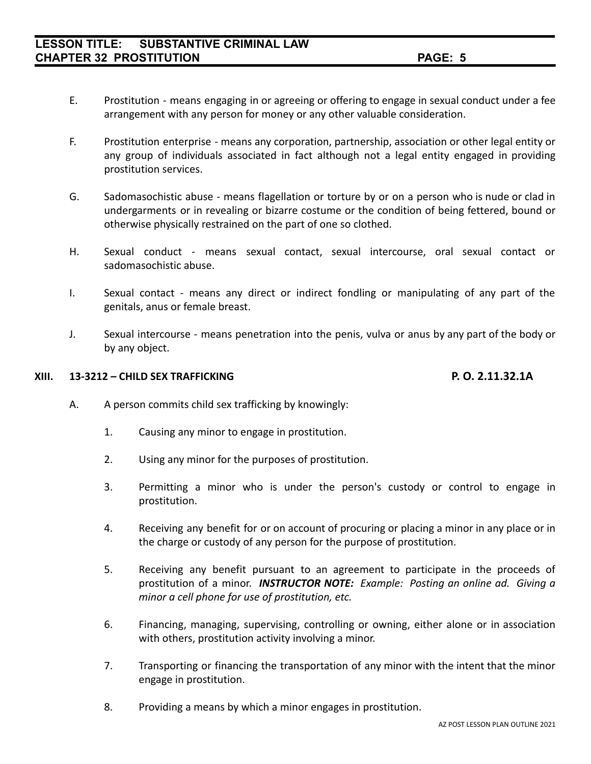- E. Prostitution means engaging in or agreeing or offering to engage in sexual conduct under a fee arrangement with any person for money or any other valuable consideration.
- F. Prostitution enterprise means any corporation, partnership, association or other legal entity or any group of individuals associated in fact although not a legal entity engaged in providing prostitution services.
- G. Sadomasochistic abuse means flagellation or torture by or on a person who is nude or clad in undergarments or in revealing or bizarre costume or the condition of being fettered, bound or otherwise physically restrained on the part of one so clothed.
- H. Sexual conduct means sexual contact, sexual intercourse, oral sexual contact or sadomasochistic abuse.
- I. Sexual contact means any direct or indirect fondling or manipulating of any part of the genitals, anus or female breast.
- J. Sexual intercourse means penetration into the penis, vulva or anus by any part of the body or by any object.

#### **XIII. 13-3212 – CHILD SEX TRAFFICKING P. O. 2.11.32.1A**

- A. A person commits child sex trafficking by knowingly:
	- 1. Causing any minor to engage in prostitution.
	- 2. Using any minor for the purposes of prostitution.
	- 3. Permitting a minor who is under the person's custody or control to engage in prostitution.
	- 4. Receiving any benefit for or on account of procuring or placing a minor in any place or in the charge or custody of any person for the purpose of prostitution.
	- 5. Receiving any benefit pursuant to an agreement to participate in the proceeds of prostitution of a minor. *INSTRUCTOR NOTE: Example: Posting an online ad. Giving a minor a cell phone for use of prostitution, etc.*
	- 6. Financing, managing, supervising, controlling or owning, either alone or in association with others, prostitution activity involving a minor.
	- 7. Transporting or financing the transportation of any minor with the intent that the minor engage in prostitution.
	- 8. Providing a means by which a minor engages in prostitution.